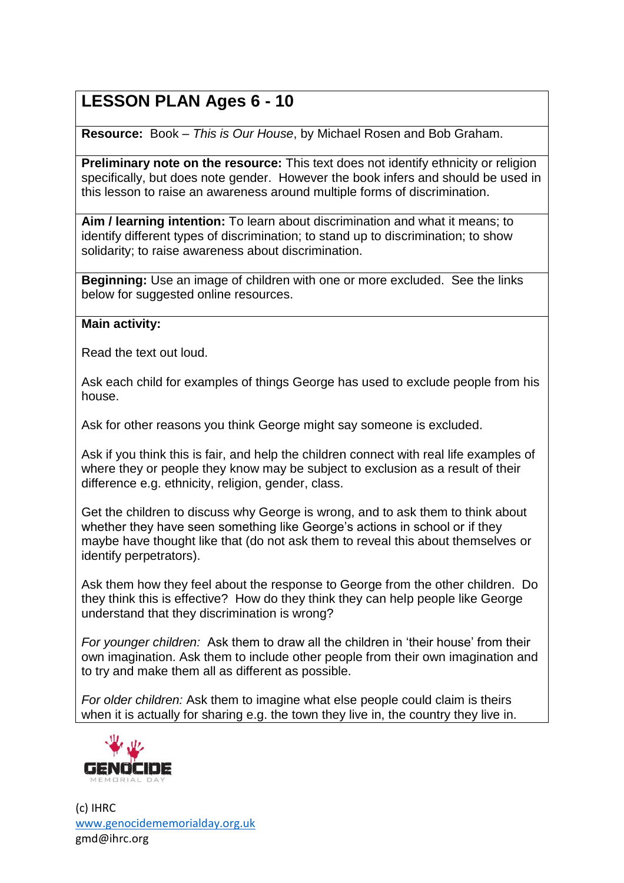## **LESSON PLAN Ages 6 - 10**

**Resource:** Book – *This is Our House*, by Michael Rosen and Bob Graham.

**Preliminary note on the resource:** This text does not identify ethnicity or religion specifically, but does note gender. However the book infers and should be used in this lesson to raise an awareness around multiple forms of discrimination.

**Aim / learning intention:** To learn about discrimination and what it means; to identify different types of discrimination; to stand up to discrimination; to show solidarity; to raise awareness about discrimination.

**Beginning:** Use an image of children with one or more excluded. See the links below for suggested online resources.

## **Main activity:**

Read the text out loud.

Ask each child for examples of things George has used to exclude people from his house.

Ask for other reasons you think George might say someone is excluded.

Ask if you think this is fair, and help the children connect with real life examples of where they or people they know may be subject to exclusion as a result of their difference e.g. ethnicity, religion, gender, class.

Get the children to discuss why George is wrong, and to ask them to think about whether they have seen something like George's actions in school or if they maybe have thought like that (do not ask them to reveal this about themselves or identify perpetrators).

Ask them how they feel about the response to George from the other children. Do they think this is effective? How do they think they can help people like George understand that they discrimination is wrong?

*For younger children:* Ask them to draw all the children in 'their house' from their own imagination. Ask them to include other people from their own imagination and to try and make them all as different as possible.

*For older children:* Ask them to imagine what else people could claim is theirs when it is actually for sharing e.g. the town they live in, the country they live in.



(c) IHRC [www.genocidememorialday.org.uk](http://www.genocidememorialday.org.uk/) gmd@ihrc.org